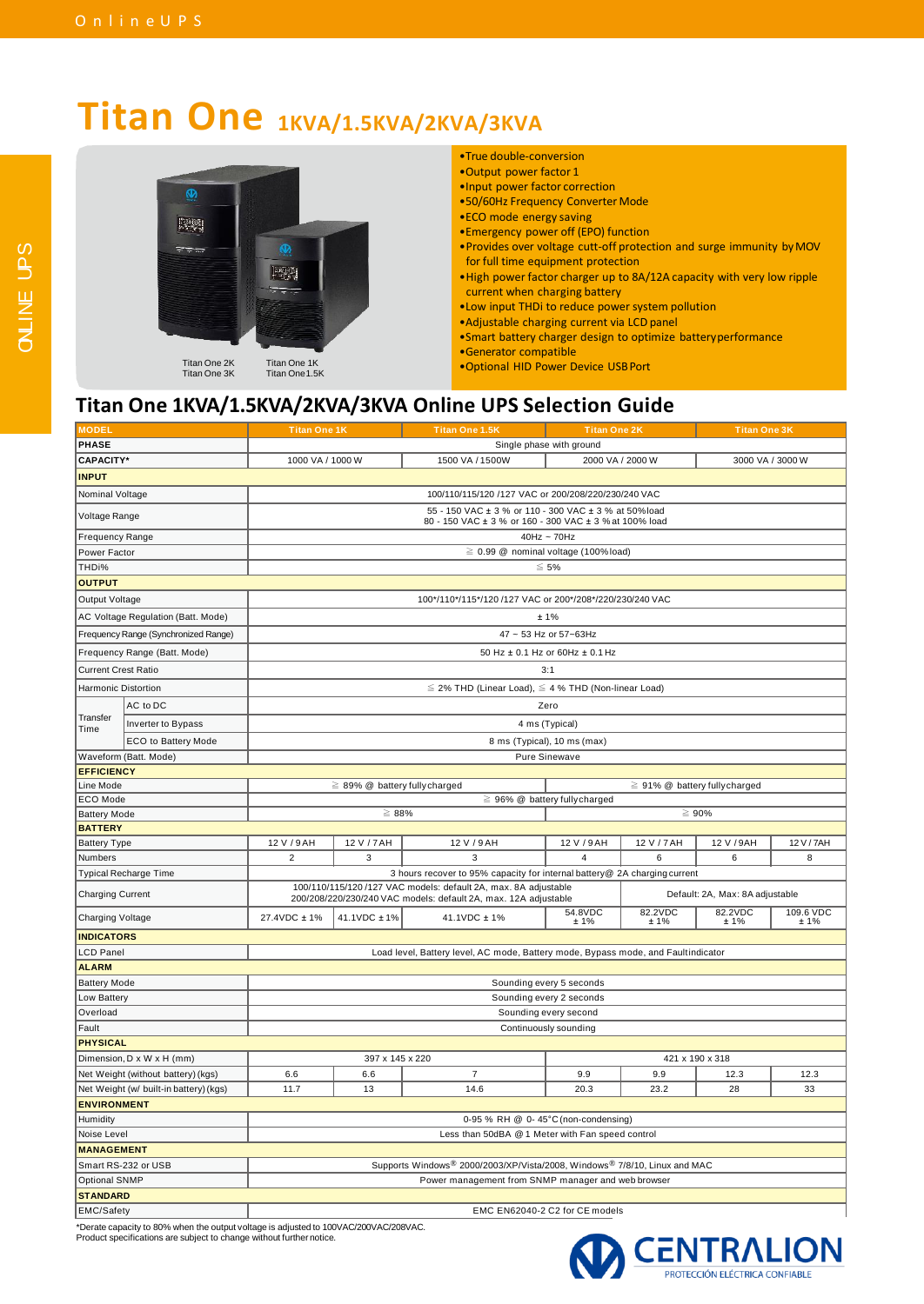## **Titan One 1KVA/1.5KVA/2KVA/3KVA**



•True double-conversion

- •Output power factor 1
- •Input power factor correction
- •50/60Hz Frequency Converter Mode
- •ECO mode energy saving
- •Emergency power off (EPO) function
- •Provides over voltage cutt-off protection and surge immunity byMOV for full time equipment protection
- •High power factor charger up to 8A/12A capacity with very low ripple current when charging battery
- •Low input THDi to reduce power system pollution
- •Adjustable charging current via LCD panel
- •Smart battery charger design to optimize batteryperformance
- •Generator compatible
- •Optional HID Power Device USBPort

### **Titan One 1KVA/1.5KVA/2KVA/3KVA Online UPS Selection Guide**

| <b>MODEL</b>                           |                                      | Titan One 1.5K<br><b>Titan One 2K</b><br><b>Titan One 1K</b>                                                                       |                 | <b>Titan One 3K</b>                                 |                                 |                                 |                  |                  |  |
|----------------------------------------|--------------------------------------|------------------------------------------------------------------------------------------------------------------------------------|-----------------|-----------------------------------------------------|---------------------------------|---------------------------------|------------------|------------------|--|
| <b>PHASE</b>                           |                                      |                                                                                                                                    |                 |                                                     | Single phase with ground        |                                 |                  |                  |  |
| <b>CAPACITY*</b>                       |                                      | 1000 VA / 1000 W                                                                                                                   |                 | 1500 VA / 1500W                                     | 2000 VA / 2000 W                |                                 | 3000 VA / 3000 W |                  |  |
| <b>INPUT</b>                           |                                      |                                                                                                                                    |                 |                                                     |                                 |                                 |                  |                  |  |
| Nominal Voltage                        |                                      |                                                                                                                                    |                 | 100/110/115/120 /127 VAC or 200/208/220/230/240 VAC |                                 |                                 |                  |                  |  |
| Voltage Range                          |                                      | 55 - 150 VAC ± 3 % or 110 - 300 VAC ± 3 % at 50%load<br>80 - 150 VAC ± 3 % or 160 - 300 VAC ± 3 % at 100% load                     |                 |                                                     |                                 |                                 |                  |                  |  |
| Frequency Range                        |                                      |                                                                                                                                    |                 |                                                     | $40Hz \sim 70Hz$                |                                 |                  |                  |  |
| Power Factor                           |                                      |                                                                                                                                    |                 | $\geq 0.99$ @ nominal voltage (100% load)           |                                 |                                 |                  |                  |  |
| THD <sub>i</sub> %                     |                                      |                                                                                                                                    |                 |                                                     | $\leq 5\%$                      |                                 |                  |                  |  |
| <b>OUTPUT</b>                          |                                      |                                                                                                                                    |                 |                                                     |                                 |                                 |                  |                  |  |
| Output Voltage                         |                                      | 100*/110*/115*/120 /127 VAC or 200*/208*/220/230/240 VAC                                                                           |                 |                                                     |                                 |                                 |                  |                  |  |
|                                        | AC Voltage Regulation (Batt. Mode)   | ±1%                                                                                                                                |                 |                                                     |                                 |                                 |                  |                  |  |
|                                        | Frequency Range (Synchronized Range) |                                                                                                                                    |                 |                                                     | 47 ~ 53 Hz or 57~63Hz           |                                 |                  |                  |  |
|                                        | Frequency Range (Batt. Mode)         |                                                                                                                                    |                 |                                                     | 50 Hz ± 0.1 Hz or 60Hz ± 0.1 Hz |                                 |                  |                  |  |
| <b>Current Crest Ratio</b>             |                                      |                                                                                                                                    |                 |                                                     | 3:1                             |                                 |                  |                  |  |
| <b>Harmonic Distortion</b>             |                                      | $\leq$ 2% THD (Linear Load), $\leq$ 4 % THD (Non-linear Load)                                                                      |                 |                                                     |                                 |                                 |                  |                  |  |
|                                        | AC to DC                             | Zero                                                                                                                               |                 |                                                     |                                 |                                 |                  |                  |  |
| Transfer<br>Time                       | Inverter to Bypass                   | 4 ms (Typical)                                                                                                                     |                 |                                                     |                                 |                                 |                  |                  |  |
|                                        | ECO to Battery Mode                  |                                                                                                                                    |                 |                                                     | 8 ms (Typical), 10 ms (max)     |                                 |                  |                  |  |
| Waveform (Batt. Mode)                  |                                      | Pure Sinewave                                                                                                                      |                 |                                                     |                                 |                                 |                  |                  |  |
| <b>EFFICIENCY</b>                      |                                      |                                                                                                                                    |                 |                                                     |                                 |                                 |                  |                  |  |
| Line Mode                              |                                      | $\geq$ 89% @ battery fully charged<br>$\geq 91\%$ @ battery fully charged                                                          |                 |                                                     |                                 |                                 |                  |                  |  |
| ECO Mode                               |                                      | $\geq 96\%$ @ battery fully charged                                                                                                |                 |                                                     |                                 |                                 |                  |                  |  |
| <b>Battery Mode</b>                    |                                      | $\geq 88\%$<br>$\geq 90\%$                                                                                                         |                 |                                                     |                                 |                                 |                  |                  |  |
| <b>BATTERY</b>                         |                                      |                                                                                                                                    |                 |                                                     |                                 |                                 |                  |                  |  |
| <b>Battery Type</b>                    |                                      | 12 V / 9 AH                                                                                                                        | 12 V / 7 AH     | 12 V / 9 AH                                         | 12 V / 9 AH                     | 12 V / 7 AH                     | 12 V / 9AH       | 12 V / 7AH       |  |
| Numbers                                |                                      | $\overline{2}$                                                                                                                     | 3               | 3                                                   | $\overline{4}$                  | 6                               | 6                | 8                |  |
|                                        | <b>Typical Recharge Time</b>         | 3 hours recover to 95% capacity for internal battery@ 2A charging current                                                          |                 |                                                     |                                 |                                 |                  |                  |  |
| Charging Current                       |                                      | 100/110/115/120 /127 VAC models: default 2A, max. 8A adjustable<br>200/208/220/230/240 VAC models: default 2A, max. 12A adjustable |                 |                                                     |                                 | Default: 2A, Max: 8A adjustable |                  |                  |  |
| Charging Voltage                       |                                      | 27.4VDC ± 1%                                                                                                                       | 41.1VDC ± 1%    | 41.1VDC ± 1%                                        | 54.8VDC<br>$+1%$                | 82.2VDC<br>±1%                  | 82.2VDC<br>±1%   | 109.6 VDC<br>±1% |  |
| <b>INDICATORS</b>                      |                                      |                                                                                                                                    |                 |                                                     |                                 |                                 |                  |                  |  |
| <b>LCD Panel</b>                       |                                      | Load level, Battery level, AC mode, Battery mode, Bypass mode, and Faultindicator                                                  |                 |                                                     |                                 |                                 |                  |                  |  |
| <b>ALARM</b>                           |                                      |                                                                                                                                    |                 |                                                     |                                 |                                 |                  |                  |  |
| <b>Battery Mode</b>                    |                                      | Sounding every 5 seconds                                                                                                           |                 |                                                     |                                 |                                 |                  |                  |  |
| Low Battery                            |                                      | Sounding every 2 seconds                                                                                                           |                 |                                                     |                                 |                                 |                  |                  |  |
| Overload                               |                                      | Sounding every second                                                                                                              |                 |                                                     |                                 |                                 |                  |                  |  |
| Fault                                  |                                      | Continuously sounding                                                                                                              |                 |                                                     |                                 |                                 |                  |                  |  |
| <b>PHYSICAL</b>                        |                                      |                                                                                                                                    |                 |                                                     |                                 |                                 |                  |                  |  |
| Dimension, D x W x H (mm)              |                                      |                                                                                                                                    | 397 x 145 x 220 |                                                     |                                 | 421 x 190 x 318                 |                  |                  |  |
| Net Weight (without battery) (kgs)     |                                      | 6.6                                                                                                                                | 6.6             | $\overline{7}$                                      | 9.9                             | 9.9                             | 12.3             | 12.3             |  |
| Net Weight (w/ built-in battery) (kgs) |                                      | 11.7                                                                                                                               | 13              | 14.6                                                | 20.3                            | 23.2                            | 28               | 33               |  |
| <b>ENVIRONMENT</b>                     |                                      |                                                                                                                                    |                 |                                                     |                                 |                                 |                  |                  |  |
| Humidity                               |                                      | 0-95 % RH @ 0-45°C (non-condensing)                                                                                                |                 |                                                     |                                 |                                 |                  |                  |  |
| Noise Level                            |                                      | Less than 50dBA @ 1 Meter with Fan speed control                                                                                   |                 |                                                     |                                 |                                 |                  |                  |  |
| <b>MANAGEMENT</b>                      |                                      |                                                                                                                                    |                 |                                                     |                                 |                                 |                  |                  |  |
| Smart RS-232 or USB                    |                                      | Supports Windows <sup>®</sup> 2000/2003/XP/Vista/2008, Windows <sup>®</sup> 7/8/10, Linux and MAC                                  |                 |                                                     |                                 |                                 |                  |                  |  |
| Optional SNMP                          |                                      | Power management from SNMP manager and web browser                                                                                 |                 |                                                     |                                 |                                 |                  |                  |  |
| <b>STANDARD</b>                        |                                      |                                                                                                                                    |                 |                                                     |                                 |                                 |                  |                  |  |
| EMC/Safety                             |                                      | EMC EN62040-2 C2 for CE models                                                                                                     |                 |                                                     |                                 |                                 |                  |                  |  |

\*Derate capacity to 80% when the output voltage is adjusted to 100VAC/200VAC/208VAC. Product specifications are subject to change without further notice.

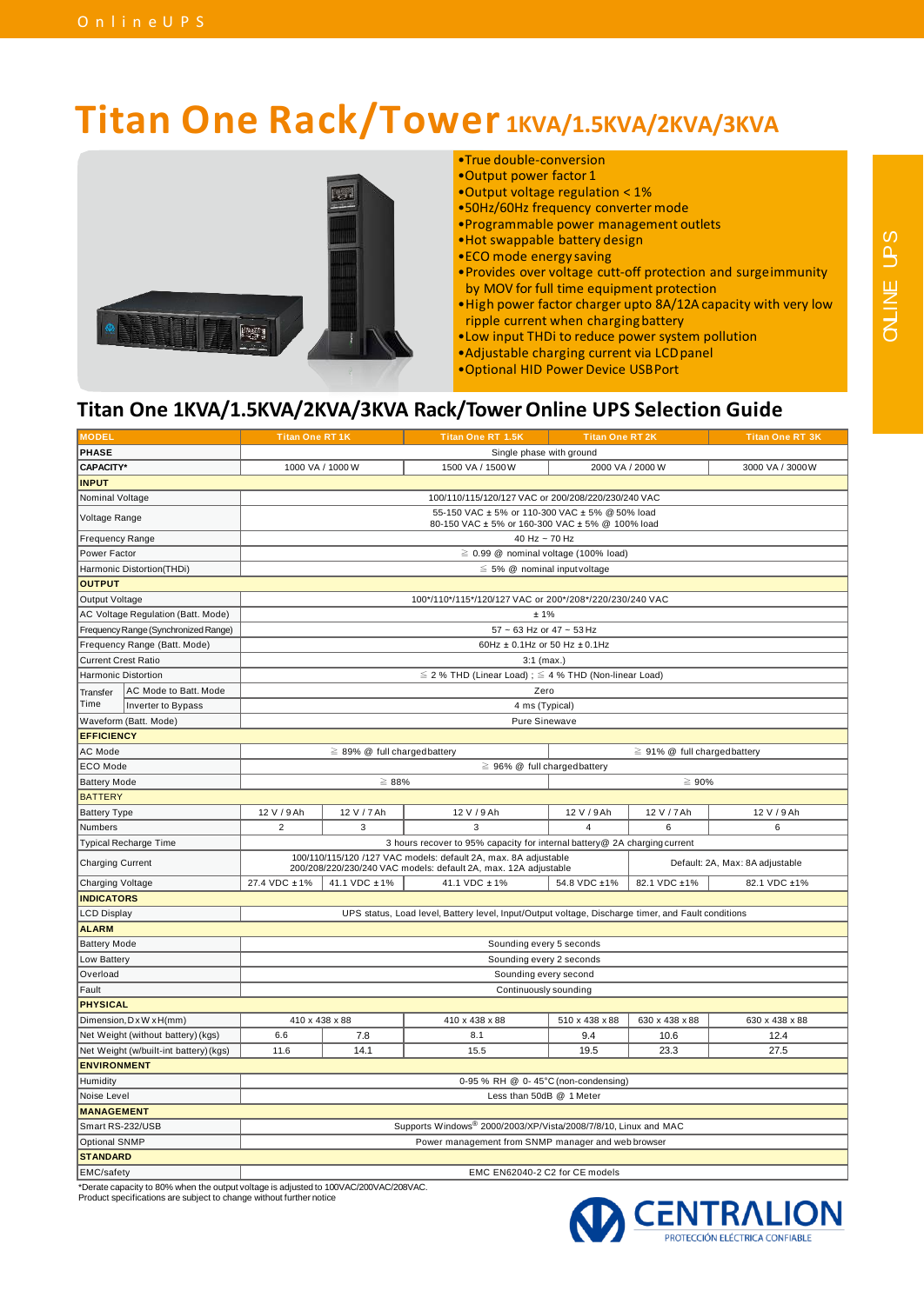## **Titan One Rack/Tower 1KVA/1.5KVA/2KVA/3KVA**



•True double-conversion

- •Output power factor 1
- •Output voltage regulation < 1%
- •50Hz/60Hz frequency converter mode
- •Programmable power management outlets
- •Hot swappable battery design
- •ECO mode energy saving
- •Provides over voltage cutt-off protection and surgeimmunity by MOV for full time equipment protection
- •High power factor charger upto 8A/12A capacity with very low ripple current when chargingbattery
- •Low input THDi to reduce power system pollution
- •Adjustable charging current via LCDpanel
- •Optional HID Power Device USBPort

### **Titan One 1KVA/1.5KVA/2KVA/3KVA Rack/TowerOnline UPS Selection Guide**

| <b>MODEL</b>                           |                                      | <b>Titan One RT1K</b>                                                                                                              |               | Titan One RT 1.5K             | <b>Titan One RT 2K</b>          |                  | <b>Titan One RT 3K</b> |  |
|----------------------------------------|--------------------------------------|------------------------------------------------------------------------------------------------------------------------------------|---------------|-------------------------------|---------------------------------|------------------|------------------------|--|
| <b>PHASE</b>                           |                                      |                                                                                                                                    |               | Single phase with ground      |                                 |                  |                        |  |
| CAPACITY*                              |                                      | 1000 VA / 1000 W                                                                                                                   |               | 1500 VA / 1500 W              |                                 | 2000 VA / 2000 W | 3000 VA / 3000W        |  |
| <b>INPUT</b>                           |                                      |                                                                                                                                    |               |                               |                                 |                  |                        |  |
| Nominal Voltage                        |                                      | 100/110/115/120/127 VAC or 200/208/220/230/240 VAC                                                                                 |               |                               |                                 |                  |                        |  |
| Voltage Range                          |                                      | 55-150 VAC ± 5% or 110-300 VAC ± 5% @ 50% load<br>80-150 VAC ± 5% or 160-300 VAC ± 5% @ 100% load                                  |               |                               |                                 |                  |                        |  |
| <b>Frequency Range</b>                 |                                      | 40 Hz ~ 70 Hz                                                                                                                      |               |                               |                                 |                  |                        |  |
| Power Factor                           |                                      | $\geq$ 0.99 @ nominal voltage (100% load)                                                                                          |               |                               |                                 |                  |                        |  |
|                                        | Harmonic Distortion(THDi)            | $\leq$ 5% @ nominal inputvoltage                                                                                                   |               |                               |                                 |                  |                        |  |
| <b>OUTPUT</b>                          |                                      |                                                                                                                                    |               |                               |                                 |                  |                        |  |
| Output Voltage                         |                                      | 100*/110*/115*/120/127 VAC or 200*/208*/220/230/240 VAC                                                                            |               |                               |                                 |                  |                        |  |
|                                        | AC Voltage Regulation (Batt. Mode)   | ±1%                                                                                                                                |               |                               |                                 |                  |                        |  |
|                                        | Frequency Range (Synchronized Range) | 57 ~ 63 Hz or 47 ~ 53 Hz                                                                                                           |               |                               |                                 |                  |                        |  |
|                                        | Frequency Range (Batt. Mode)         |                                                                                                                                    |               | 60Hz ± 0.1Hz or 50 Hz ± 0.1Hz |                                 |                  |                        |  |
| <b>Current Crest Ratio</b>             |                                      |                                                                                                                                    |               | $3:1$ (max.)                  |                                 |                  |                        |  |
| Harmonic Distortion                    |                                      | $\leq$ 2 % THD (Linear Load) ; $\leq$ 4 % THD (Non-linear Load)                                                                    |               |                               |                                 |                  |                        |  |
| Transfer                               | AC Mode to Batt. Mode                |                                                                                                                                    |               | Zero                          |                                 |                  |                        |  |
| Time                                   | Inverter to Bypass                   |                                                                                                                                    |               | 4 ms (Typical)                |                                 |                  |                        |  |
|                                        | Waveform (Batt. Mode)                |                                                                                                                                    |               | Pure Sinewave                 |                                 |                  |                        |  |
| <b>EFFICIENCY</b>                      |                                      |                                                                                                                                    |               |                               |                                 |                  |                        |  |
| AC Mode                                |                                      | $\geq$ 89% @ full charged battery<br>$\geq$ 91% @ full charged battery                                                             |               |                               |                                 |                  |                        |  |
| <b>ECO Mode</b>                        |                                      | $\geq 96\%$ @ full chargedbattery                                                                                                  |               |                               |                                 |                  |                        |  |
| <b>Battery Mode</b>                    |                                      | $\geq 88\%$<br>$\geq 90\%$                                                                                                         |               |                               |                                 |                  |                        |  |
| <b>BATTERY</b>                         |                                      |                                                                                                                                    |               |                               |                                 |                  |                        |  |
| <b>Battery Type</b>                    |                                      | 12 V / 9 Ah                                                                                                                        | 12 V / 7 Ah   | 12 V / 9 Ah                   | 12 V / 9 Ah                     | 12 V / 7 Ah      | 12 V / 9 Ah            |  |
| Numbers                                |                                      | $\mathfrak{p}$                                                                                                                     | 3             | 3                             | $\overline{\mathbf{4}}$         | 6                | 6                      |  |
|                                        | Typical Recharge Time                | 3 hours recover to 95% capacity for internal battery@ 2A charging current                                                          |               |                               |                                 |                  |                        |  |
| Charging Current                       |                                      | 100/110/115/120 /127 VAC models: default 2A, max. 8A adjustable<br>200/208/220/230/240 VAC models: default 2A, max. 12A adjustable |               |                               | Default: 2A, Max: 8A adjustable |                  |                        |  |
| Charging Voltage                       |                                      | 27.4 VDC ± 1%                                                                                                                      | 41.1 VDC ± 1% | 41.1 VDC ± 1%                 | 54.8 VDC ±1%                    | 82.1 VDC ±1%     | 82.1 VDC ±1%           |  |
| <b>INDICATORS</b>                      |                                      |                                                                                                                                    |               |                               |                                 |                  |                        |  |
| <b>LCD Display</b>                     |                                      | UPS status, Load level, Battery level, Input/Output voltage, Discharge timer, and Fault conditions                                 |               |                               |                                 |                  |                        |  |
| <b>ALARM</b>                           |                                      |                                                                                                                                    |               |                               |                                 |                  |                        |  |
| <b>Battery Mode</b>                    |                                      | Sounding every 5 seconds                                                                                                           |               |                               |                                 |                  |                        |  |
| Low Battery                            |                                      | Sounding every 2 seconds                                                                                                           |               |                               |                                 |                  |                        |  |
| Overload                               |                                      | Sounding every second                                                                                                              |               |                               |                                 |                  |                        |  |
| Fault                                  |                                      | Continuously sounding                                                                                                              |               |                               |                                 |                  |                        |  |
| <b>PHYSICAL</b>                        |                                      |                                                                                                                                    |               |                               |                                 |                  |                        |  |
| Dimension, DxW xH(mm)                  |                                      | 410 x 438 x 88                                                                                                                     |               | 410 x 438 x 88                | 510 x 438 x 88                  | 630 x 438 x 88   | 630 x 438 x 88         |  |
| Net Weight (without battery) (kgs)     |                                      | 6.6                                                                                                                                | 7.8           | 8.1                           | 9.4                             | 10.6             | 12.4                   |  |
| Net Weight (w/built-int battery) (kgs) |                                      | 11.6                                                                                                                               | 14.1          | 15.5                          | 19.5                            | 23.3             | 27.5                   |  |
| <b>ENVIRONMENT</b>                     |                                      |                                                                                                                                    |               |                               |                                 |                  |                        |  |
| Humidity                               |                                      | 0-95 % RH @ 0-45°C (non-condensing)                                                                                                |               |                               |                                 |                  |                        |  |
| Noise Level                            |                                      | Less than 50dB @ 1 Meter                                                                                                           |               |                               |                                 |                  |                        |  |
| <b>MANAGEMENT</b>                      |                                      |                                                                                                                                    |               |                               |                                 |                  |                        |  |
| Smart RS-232/USB                       |                                      | Supports Windows® 2000/2003/XP/Vista/2008/7/8/10, Linux and MAC                                                                    |               |                               |                                 |                  |                        |  |
| Optional SNMP                          |                                      | Power management from SNMP manager and web browser                                                                                 |               |                               |                                 |                  |                        |  |
| <b>STANDARD</b>                        |                                      |                                                                                                                                    |               |                               |                                 |                  |                        |  |
| EMC/safety                             |                                      | EMC EN62040-2 C2 for CE models                                                                                                     |               |                               |                                 |                  |                        |  |

\*Derate capacity to 80% when the output voltage is adjusted to 100VAC/200VAC/208VAC. Product specifications are subject to change without further notice

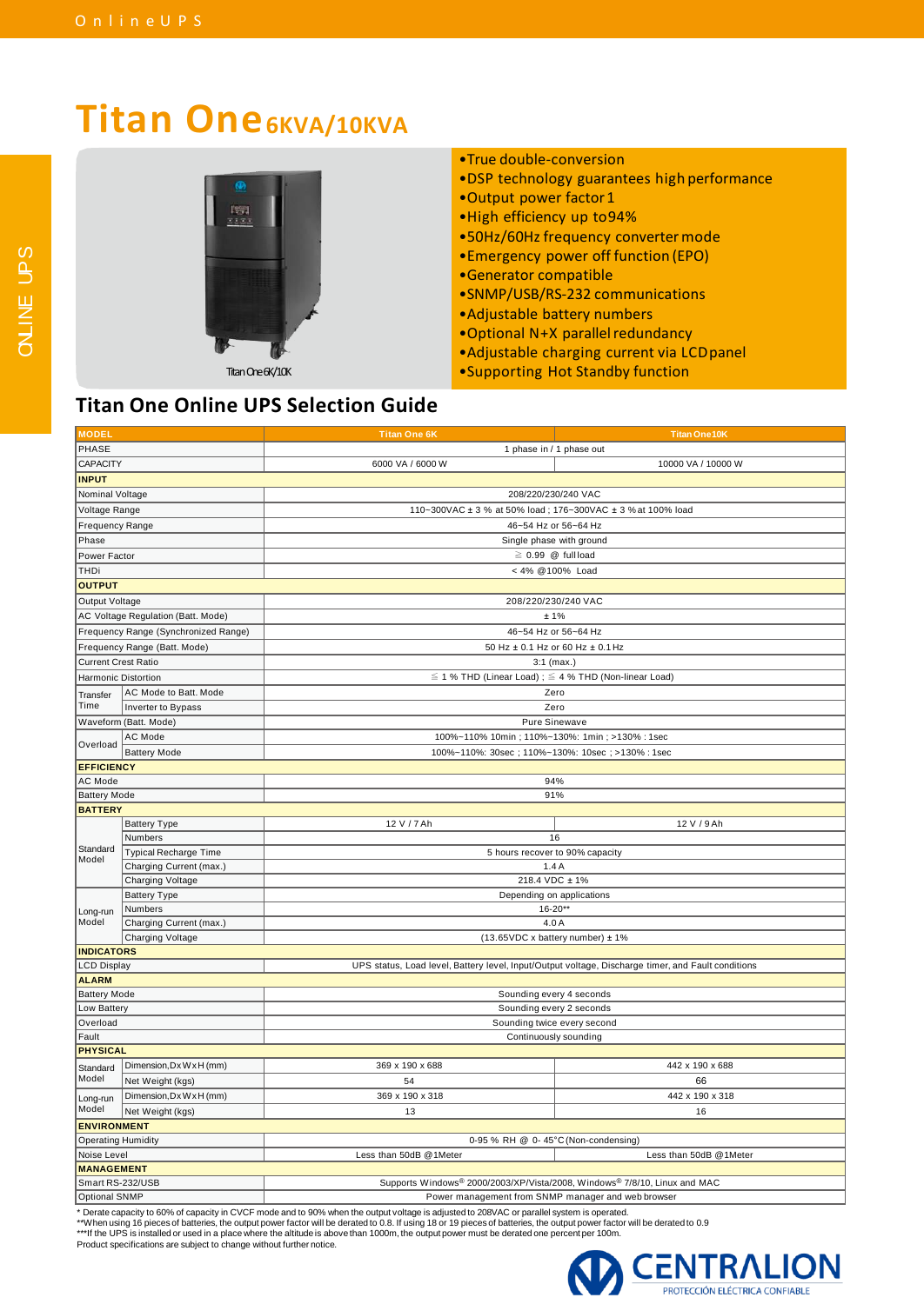## **Titan One6KVA/10KVA**

# OLINE UPS



•True double-conversion

- •DSP technology guarantees high performance
- •Output power factor1
- •High efficiency up to94%
- •50Hz/60Hz frequency convertermode
- •Emergency power off function (EPO)
- •Generator compatible
- •SNMP/USB/RS-232 communications
- •Adjustable battery numbers
- •Optional N+X parallel redundancy
- •Adjustable charging current via LCDpanel
- Titan One 6K/10K **•Supporting Hot Standby function**

### **Titan One Online UPS Selection Guide**

| <b>MODEL</b>                                                    |                                      | <b>Titan One 6K</b>                                                                                | <b>Titan One 10K</b> |  |  |  |
|-----------------------------------------------------------------|--------------------------------------|----------------------------------------------------------------------------------------------------|----------------------|--|--|--|
| PHASE                                                           |                                      | 1 phase in / 1 phase out                                                                           |                      |  |  |  |
| <b>CAPACITY</b>                                                 |                                      | 6000 VA / 6000 W                                                                                   | 10000 VA / 10000 W   |  |  |  |
| <b>INPUT</b>                                                    |                                      |                                                                                                    |                      |  |  |  |
| Nominal Voltage                                                 |                                      | 208/220/230/240 VAC                                                                                |                      |  |  |  |
| Voltage Range                                                   |                                      | 110~300VAC ± 3 % at 50% load; 176~300VAC ± 3 % at 100% load                                        |                      |  |  |  |
| Frequency Range                                                 |                                      | 46~54 Hz or 56~64 Hz                                                                               |                      |  |  |  |
| Phase                                                           |                                      | Single phase with ground                                                                           |                      |  |  |  |
| Power Factor                                                    |                                      | $\geq 0.99$ @ fullload                                                                             |                      |  |  |  |
| THDi                                                            |                                      | < 4% @100% Load                                                                                    |                      |  |  |  |
| <b>OUTPUT</b>                                                   |                                      |                                                                                                    |                      |  |  |  |
| Output Voltage                                                  |                                      | 208/220/230/240 VAC                                                                                |                      |  |  |  |
|                                                                 | AC Voltage Regulation (Batt. Mode)   | ±1%                                                                                                |                      |  |  |  |
|                                                                 | Frequency Range (Synchronized Range) | 46~54 Hz or 56~64 Hz                                                                               |                      |  |  |  |
|                                                                 | Frequency Range (Batt. Mode)         | 50 Hz ± 0.1 Hz or 60 Hz ± 0.1 Hz                                                                   |                      |  |  |  |
| <b>Current Crest Ratio</b>                                      |                                      |                                                                                                    |                      |  |  |  |
|                                                                 |                                      | $3:1$ (max.)                                                                                       |                      |  |  |  |
| <b>Harmonic Distortion</b>                                      |                                      | $\leq$ 1 % THD (Linear Load); $\leq$ 4 % THD (Non-linear Load)                                     |                      |  |  |  |
| Transfer<br>Time                                                | AC Mode to Batt. Mode                | Zero                                                                                               |                      |  |  |  |
|                                                                 | Inverter to Bypass                   | Zero                                                                                               |                      |  |  |  |
|                                                                 | Waveform (Batt. Mode)                | Pure Sinewave                                                                                      |                      |  |  |  |
| Overload                                                        | AC Mode                              | 100%~110% 10min; 110%~130%: 1min; >130%: 1sec                                                      |                      |  |  |  |
|                                                                 | <b>Battery Mode</b>                  | 100%~110%: 30sec; 110%~130%: 10sec; >130%: 1sec                                                    |                      |  |  |  |
| <b>EFFICIENCY</b>                                               |                                      |                                                                                                    |                      |  |  |  |
| AC Mode                                                         |                                      | 94%<br>91%                                                                                         |                      |  |  |  |
| <b>Battery Mode</b>                                             |                                      |                                                                                                    |                      |  |  |  |
| <b>BATTERY</b>                                                  |                                      | 12 V / 7 Ah                                                                                        | 12 V / 9 Ah          |  |  |  |
|                                                                 | <b>Battery Type</b><br>Numbers       |                                                                                                    |                      |  |  |  |
| Standard                                                        | <b>Typical Recharge Time</b>         | 16                                                                                                 |                      |  |  |  |
| Model                                                           | Charging Current (max.)              | 5 hours recover to 90% capacity<br>1.4A                                                            |                      |  |  |  |
|                                                                 | Charging Voltage                     | 218.4 VDC ± 1%                                                                                     |                      |  |  |  |
|                                                                 | <b>Battery Type</b>                  | Depending on applications                                                                          |                      |  |  |  |
| Long-run                                                        | Numbers                              | $16 - 20**$                                                                                        |                      |  |  |  |
| Model                                                           | Charging Current (max.)              | 4.0 A                                                                                              |                      |  |  |  |
|                                                                 | Charging Voltage                     | (13.65VDC x battery number) ± 1%                                                                   |                      |  |  |  |
| <b>INDICATORS</b>                                               |                                      |                                                                                                    |                      |  |  |  |
| <b>LCD Display</b>                                              |                                      | UPS status, Load level, Battery level, Input/Output voltage, Discharge timer, and Fault conditions |                      |  |  |  |
| <b>ALARM</b>                                                    |                                      |                                                                                                    |                      |  |  |  |
| <b>Battery Mode</b>                                             |                                      | Sounding every 4 seconds                                                                           |                      |  |  |  |
| Low Battery                                                     |                                      | Sounding every 2 seconds                                                                           |                      |  |  |  |
| Overload                                                        |                                      | Sounding twice every second                                                                        |                      |  |  |  |
| Fault                                                           |                                      | Continuously sounding                                                                              |                      |  |  |  |
| <b>PHYSICAL</b>                                                 |                                      |                                                                                                    |                      |  |  |  |
| Standard                                                        | Dimension, Dx W x H (mm)             | 369 x 190 x 688                                                                                    | 442 x 190 x 688      |  |  |  |
| Model                                                           | Net Weight (kgs)                     | 54                                                                                                 | 66                   |  |  |  |
| Long-run                                                        | Dimension, Dx W x H (mm)             | 369 x 190 x 318                                                                                    | 442 x 190 x 318      |  |  |  |
| Model                                                           | Net Weight (kgs)                     | 13                                                                                                 | 16                   |  |  |  |
| <b>ENVIRONMENT</b>                                              |                                      |                                                                                                    |                      |  |  |  |
| <b>Operating Humidity</b>                                       |                                      | 0-95 % RH @ 0-45°C (Non-condensing)                                                                |                      |  |  |  |
| Noise Level<br>Less than 50dB @1Meter<br>Less than 50dB @1Meter |                                      |                                                                                                    |                      |  |  |  |
| <b>MANAGEMENT</b>                                               |                                      |                                                                                                    |                      |  |  |  |
| Smart RS-232/USB                                                |                                      | Supports Windows® 2000/2003/XP/Vista/2008, Windows® 7/8/10, Linux and MAC                          |                      |  |  |  |
| Optional SNMP                                                   |                                      | Power management from SNMP manager and web browser                                                 |                      |  |  |  |

\* Derate capacity to 60% of capacity in CVCF mode and to 90% when the output voltage is adjusted to 208VAC or parallel system is operated.<br>\*\*Vhen using 16 pieces of batteries, the output power factor will be derated to 0.8